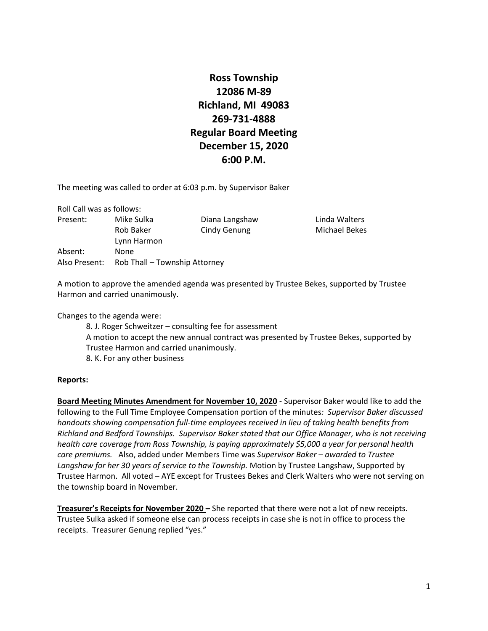# **Ross Township 12086 M-89 Richland, MI 49083 269-731-4888 Regular Board Meeting December 15, 2020 6:00 P.M.**

The meeting was called to order at 6:03 p.m. by Supervisor Baker

| Roll Call was as follows: |                               |            |
|---------------------------|-------------------------------|------------|
| Present:                  | Mike Sulka                    | Diana Lang |
|                           | Rob Baker                     | Cindy Gen  |
|                           | Lynn Harmon                   |            |
| Absent:                   | None                          |            |
| Also Present:             | Rob Thall - Township Attorney |            |

Presenting Sulfa Diana Diangshaw Linda Walters ung **Cindy Genual** Michael Bekes

A motion to approve the amended agenda was presented by Trustee Bekes, supported by Trustee Harmon and carried unanimously.

Changes to the agenda were:

8. J. Roger Schweitzer – consulting fee for assessment A motion to accept the new annual contract was presented by Trustee Bekes, supported by Trustee Harmon and carried unanimously. 8. K. For any other business

#### **Reports:**

**Board Meeting Minutes Amendment for November 10, 2020** - Supervisor Baker would like to add the following to the Full Time Employee Compensation portion of the minutes*: Supervisor Baker discussed handouts showing compensation full-time employees received in lieu of taking health benefits from Richland and Bedford Townships. Supervisor Baker stated that our Office Manager, who is not receiving health care coverage from Ross Township, is paying approximately \$5,000 a year for personal health care premiums.* Also, added under Members Time was *Supervisor Baker – awarded to Trustee Langshaw for her 30 years of service to the Township.* Motion by Trustee Langshaw, Supported by Trustee Harmon.All voted – AYE except for Trustees Bekes and Clerk Walters who were not serving on the township board in November.

**Treasurer's Receipts for November 2020 –** She reported that there were not a lot of new receipts. Trustee Sulka asked if someone else can process receipts in case she is not in office to process the receipts. Treasurer Genung replied "yes."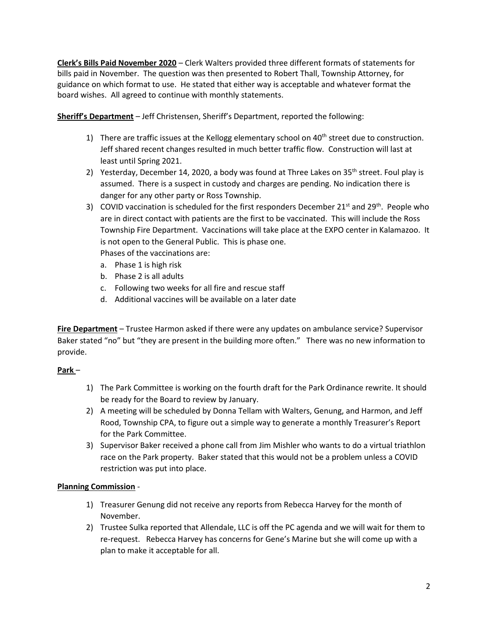**Clerk's Bills Paid November 2020** – Clerk Walters provided three different formats of statements for bills paid in November. The question was then presented to Robert Thall, Township Attorney, for guidance on which format to use. He stated that either way is acceptable and whatever format the board wishes. All agreed to continue with monthly statements.

**Sheriff's Department** – Jeff Christensen, Sheriff's Department, reported the following:

- 1) There are traffic issues at the Kellogg elementary school on  $40<sup>th</sup>$  street due to construction. Jeff shared recent changes resulted in much better traffic flow. Construction will last at least until Spring 2021.
- 2) Yesterday, December 14, 2020, a body was found at Three Lakes on  $35<sup>th</sup>$  street. Foul play is assumed. There is a suspect in custody and charges are pending. No indication there is danger for any other party or Ross Township.
- 3) COVID vaccination is scheduled for the first responders December  $21^{st}$  and  $29^{th}$ . People who are in direct contact with patients are the first to be vaccinated. This will include the Ross Township Fire Department. Vaccinations will take place at the EXPO center in Kalamazoo. It is not open to the General Public. This is phase one.

Phases of the vaccinations are:

- a. Phase 1 is high risk
- b. Phase 2 is all adults
- c. Following two weeks for all fire and rescue staff
- d. Additional vaccines will be available on a later date

**Fire Department** – Trustee Harmon asked if there were any updates on ambulance service? Supervisor Baker stated "no" but "they are present in the building more often." There was no new information to provide.

# **Park** –

- 1) The Park Committee is working on the fourth draft for the Park Ordinance rewrite. It should be ready for the Board to review by January.
- 2) A meeting will be scheduled by Donna Tellam with Walters, Genung, and Harmon, and Jeff Rood, Township CPA, to figure out a simple way to generate a monthly Treasurer's Report for the Park Committee.
- 3) Supervisor Baker received a phone call from Jim Mishler who wants to do a virtual triathlon race on the Park property. Baker stated that this would not be a problem unless a COVID restriction was put into place.

# **Planning Commission** -

- 1) Treasurer Genung did not receive any reports from Rebecca Harvey for the month of November.
- 2) Trustee Sulka reported that Allendale, LLC is off the PC agenda and we will wait for them to re-request. Rebecca Harvey has concerns for Gene's Marine but she will come up with a plan to make it acceptable for all.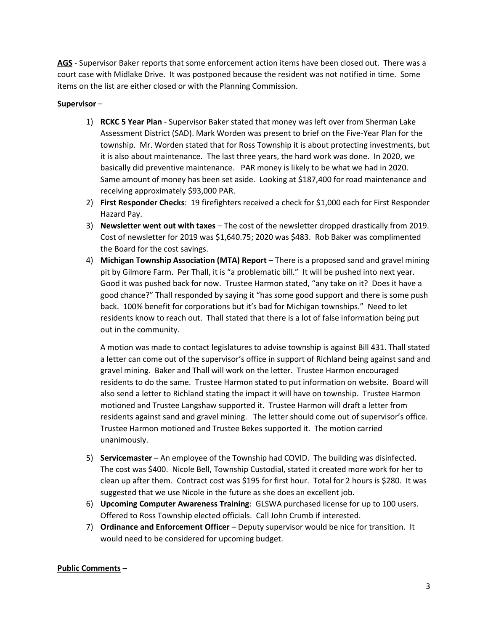**AGS** - Supervisor Baker reports that some enforcement action items have been closed out. There was a court case with Midlake Drive. It was postponed because the resident was not notified in time. Some items on the list are either closed or with the Planning Commission.

## **Supervisor** –

- 1) **RCKC 5 Year Plan** Supervisor Baker stated that money was left over from Sherman Lake Assessment District (SAD). Mark Worden was present to brief on the Five-Year Plan for the township. Mr. Worden stated that for Ross Township it is about protecting investments, but it is also about maintenance. The last three years, the hard work was done. In 2020, we basically did preventive maintenance. PAR money is likely to be what we had in 2020. Same amount of money has been set aside. Looking at \$187,400 for road maintenance and receiving approximately \$93,000 PAR.
- 2) **First Responder Checks**: 19 firefighters received a check for \$1,000 each for First Responder Hazard Pay.
- 3) **Newsletter went out with taxes** The cost of the newsletter dropped drastically from 2019. Cost of newsletter for 2019 was \$1,640.75; 2020 was \$483. Rob Baker was complimented the Board for the cost savings.
- 4) **Michigan Township Association (MTA) Report** There is a proposed sand and gravel mining pit by Gilmore Farm. Per Thall, it is "a problematic bill." It will be pushed into next year. Good it was pushed back for now. Trustee Harmon stated, "any take on it? Does it have a good chance?" Thall responded by saying it "has some good support and there is some push back. 100% benefit for corporations but it's bad for Michigan townships." Need to let residents know to reach out. Thall stated that there is a lot of false information being put out in the community.

A motion was made to contact legislatures to advise township is against Bill 431. Thall stated a letter can come out of the supervisor's office in support of Richland being against sand and gravel mining. Baker and Thall will work on the letter. Trustee Harmon encouraged residents to do the same. Trustee Harmon stated to put information on website. Board will also send a letter to Richland stating the impact it will have on township. Trustee Harmon motioned and Trustee Langshaw supported it. Trustee Harmon will draft a letter from residents against sand and gravel mining. The letter should come out of supervisor's office. Trustee Harmon motioned and Trustee Bekes supported it. The motion carried unanimously.

- 5) **Servicemaster** An employee of the Township had COVID. The building was disinfected. The cost was \$400. Nicole Bell, Township Custodial, stated it created more work for her to clean up after them. Contract cost was \$195 for first hour. Total for 2 hours is \$280. It was suggested that we use Nicole in the future as she does an excellent job.
- 6) **Upcoming Computer Awareness Training**: GLSWA purchased license for up to 100 users. Offered to Ross Township elected officials. Call John Crumb if interested.
- 7) **Ordinance and Enforcement Officer** Deputy supervisor would be nice for transition. It would need to be considered for upcoming budget.

#### **Public Comments** –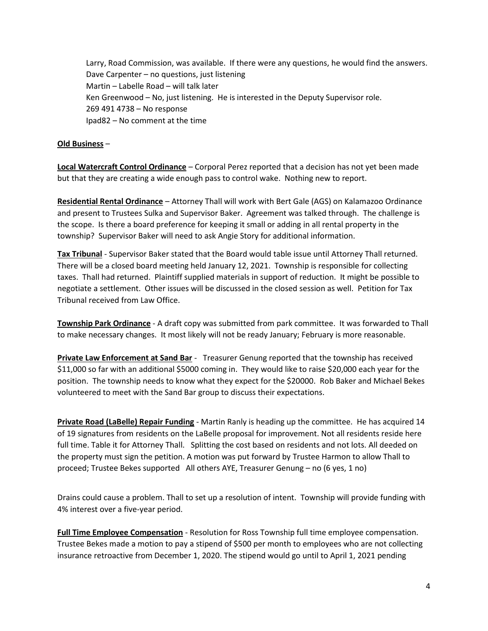Larry, Road Commission, was available. If there were any questions, he would find the answers. Dave Carpenter – no questions, just listening Martin – Labelle Road – will talk later Ken Greenwood – No, just listening. He is interested in the Deputy Supervisor role. 269 491 4738 – No response Ipad82 – No comment at the time

#### **Old Business** –

**Local Watercraft Control Ordinance** – Corporal Perez reported that a decision has not yet been made but that they are creating a wide enough pass to control wake. Nothing new to report.

**Residential Rental Ordinance** – Attorney Thall will work with Bert Gale (AGS) on Kalamazoo Ordinance and present to Trustees Sulka and Supervisor Baker. Agreement was talked through. The challenge is the scope. Is there a board preference for keeping it small or adding in all rental property in the township? Supervisor Baker will need to ask Angie Story for additional information.

**Tax Tribunal** - Supervisor Baker stated that the Board would table issue until Attorney Thall returned. There will be a closed board meeting held January 12, 2021. Township is responsible for collecting taxes. Thall had returned. Plaintiff supplied materials in support of reduction. It might be possible to negotiate a settlement. Other issues will be discussed in the closed session as well. Petition for Tax Tribunal received from Law Office.

**Township Park Ordinance** - A draft copy was submitted from park committee. It was forwarded to Thall to make necessary changes. It most likely will not be ready January; February is more reasonable.

**Private Law Enforcement at Sand Bar** - Treasurer Genung reported that the township has received \$11,000 so far with an additional \$5000 coming in. They would like to raise \$20,000 each year for the position. The township needs to know what they expect for the \$20000. Rob Baker and Michael Bekes volunteered to meet with the Sand Bar group to discuss their expectations.

**Private Road (LaBelle) Repair Funding** - Martin Ranly is heading up the committee. He has acquired 14 of 19 signatures from residents on the LaBelle proposal for improvement. Not all residents reside here full time. Table it for Attorney Thall. Splitting the cost based on residents and not lots. All deeded on the property must sign the petition. A motion was put forward by Trustee Harmon to allow Thall to proceed; Trustee Bekes supported All others AYE, Treasurer Genung – no (6 yes, 1 no)

Drains could cause a problem. Thall to set up a resolution of intent. Township will provide funding with 4% interest over a five-year period.

**Full Time Employee Compensation** - Resolution for Ross Township full time employee compensation. Trustee Bekes made a motion to pay a stipend of \$500 per month to employees who are not collecting insurance retroactive from December 1, 2020. The stipend would go until to April 1, 2021 pending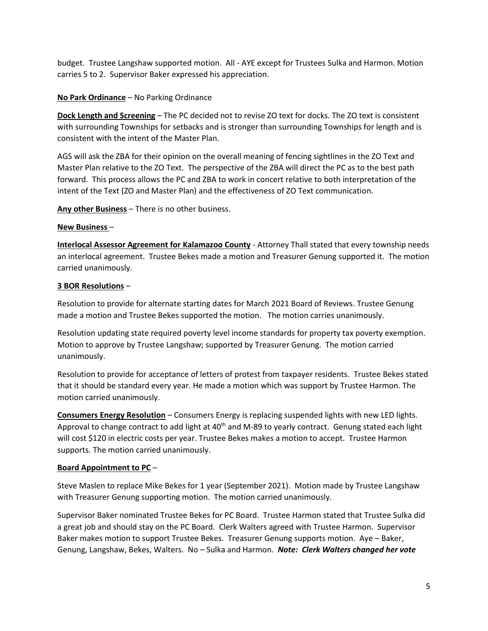budget. Trustee Langshaw supported motion. All - AYE except for Trustees Sulka and Harmon. Motion carries 5 to 2. Supervisor Baker expressed his appreciation.

# **No Park Ordinance** – No Parking Ordinance

**Dock Length and Screening** – The PC decided not to revise ZO text for docks. The ZO text is consistent with surrounding Townships for setbacks and is stronger than surrounding Townships for length and is consistent with the intent of the Master Plan.

AGS will ask the ZBA for their opinion on the overall meaning of fencing sightlines in the ZO Text and Master Plan relative to the ZO Text. The perspective of the ZBA will direct the PC as to the best path forward. This process allows the PC and ZBA to work in concert relative to both interpretation of the intent of the Text (ZO and Master Plan) and the effectiveness of ZO Text communication.

**Any other Business** – There is no other business.

### **New Business** –

**Interlocal Assessor Agreement for Kalamazoo County** - Attorney Thall stated that every township needs an interlocal agreement. Trustee Bekes made a motion and Treasurer Genung supported it. The motion carried unanimously.

### **3 BOR Resolutions** –

Resolution to provide for alternate starting dates for March 2021 Board of Reviews. Trustee Genung made a motion and Trustee Bekes supported the motion. The motion carries unanimously.

Resolution updating state required poverty level income standards for property tax poverty exemption. Motion to approve by Trustee Langshaw; supported by Treasurer Genung. The motion carried unanimously.

Resolution to provide for acceptance of letters of protest from taxpayer residents. Trustee Bekes stated that it should be standard every year. He made a motion which was support by Trustee Harmon. The motion carried unanimously.

**Consumers Energy Resolution** – Consumers Energy is replacing suspended lights with new LED lights. Approval to change contract to add light at 40<sup>th</sup> and M-89 to yearly contract. Genung stated each light will cost \$120 in electric costs per year. Trustee Bekes makes a motion to accept. Trustee Harmon supports. The motion carried unanimously.

# **Board Appointment to PC** –

Steve Maslen to replace Mike Bekes for 1 year (September 2021). Motion made by Trustee Langshaw with Treasurer Genung supporting motion. The motion carried unanimously.

Supervisor Baker nominated Trustee Bekes for PC Board. Trustee Harmon stated that Trustee Sulka did a great job and should stay on the PC Board. Clerk Walters agreed with Trustee Harmon. Supervisor Baker makes motion to support Trustee Bekes. Treasurer Genung supports motion. Aye – Baker, Genung, Langshaw, Bekes, Walters. No – Sulka and Harmon. *Note: Clerk Walters changed her vote*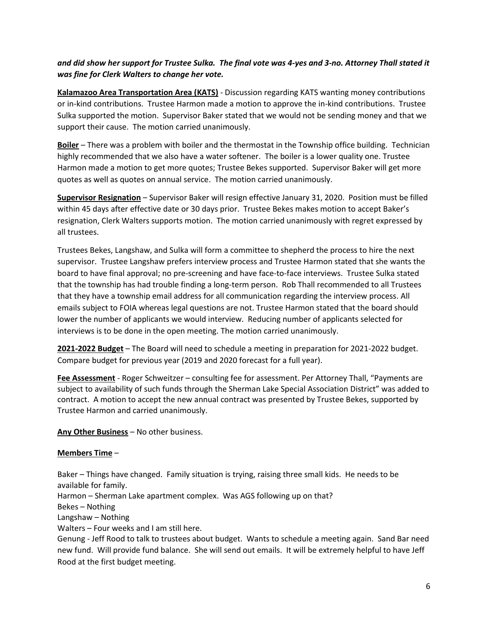# *and did show her support for Trustee Sulka. The final vote was 4-yes and 3-no. Attorney Thall stated it was fine for Clerk Walters to change her vote.*

**Kalamazoo Area Transportation Area (KATS)** - Discussion regarding KATS wanting money contributions or in-kind contributions. Trustee Harmon made a motion to approve the in-kind contributions. Trustee Sulka supported the motion. Supervisor Baker stated that we would not be sending money and that we support their cause. The motion carried unanimously.

**Boiler** – There was a problem with boiler and the thermostat in the Township office building. Technician highly recommended that we also have a water softener. The boiler is a lower quality one. Trustee Harmon made a motion to get more quotes; Trustee Bekes supported. Supervisor Baker will get more quotes as well as quotes on annual service. The motion carried unanimously.

**Supervisor Resignation** – Supervisor Baker will resign effective January 31, 2020. Position must be filled within 45 days after effective date or 30 days prior. Trustee Bekes makes motion to accept Baker's resignation, Clerk Walters supports motion. The motion carried unanimously with regret expressed by all trustees.

Trustees Bekes, Langshaw, and Sulka will form a committee to shepherd the process to hire the next supervisor. Trustee Langshaw prefers interview process and Trustee Harmon stated that she wants the board to have final approval; no pre-screening and have face-to-face interviews. Trustee Sulka stated that the township has had trouble finding a long-term person. Rob Thall recommended to all Trustees that they have a township email address for all communication regarding the interview process. All emails subject to FOIA whereas legal questions are not. Trustee Harmon stated that the board should lower the number of applicants we would interview. Reducing number of applicants selected for interviews is to be done in the open meeting. The motion carried unanimously.

**2021-2022 Budget** – The Board will need to schedule a meeting in preparation for 2021-2022 budget. Compare budget for previous year (2019 and 2020 forecast for a full year).

**Fee Assessment** - Roger Schweitzer – consulting fee for assessment. Per Attorney Thall, "Payments are subject to availability of such funds through the Sherman Lake Special Association District" was added to contract. A motion to accept the new annual contract was presented by Trustee Bekes, supported by Trustee Harmon and carried unanimously.

**Any Other Business** – No other business.

#### **Members Time** –

Baker – Things have changed. Family situation is trying, raising three small kids. He needs to be available for family.

Harmon – Sherman Lake apartment complex. Was AGS following up on that?

Bekes – Nothing

Langshaw – Nothing

Walters – Four weeks and I am still here.

Genung - Jeff Rood to talk to trustees about budget. Wants to schedule a meeting again. Sand Bar need new fund. Will provide fund balance. She will send out emails. It will be extremely helpful to have Jeff Rood at the first budget meeting.